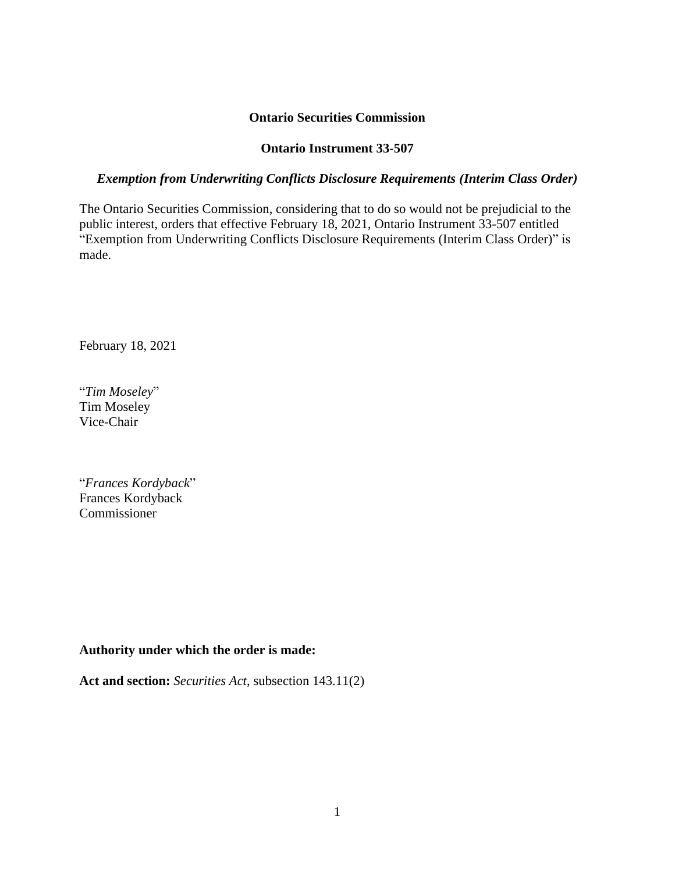### **Ontario Securities Commission**

### **Ontario Instrument 33-507**

### *Exemption from Underwriting Conflicts Disclosure Requirements (Interim Class Order)*

The Ontario Securities Commission, considering that to do so would not be prejudicial to the public interest, orders that effective February 18, 2021, Ontario Instrument 33-507 entitled "Exemption from Underwriting Conflicts Disclosure Requirements (Interim Class Order)" is made.

February 18, 2021

"*Tim Moseley*" Tim Moseley Vice-Chair

"*Frances Kordyback*" Frances Kordyback Commissioner

### **Authority under which the order is made:**

**Act and section:** *Securities Act*, subsection 143.11(2)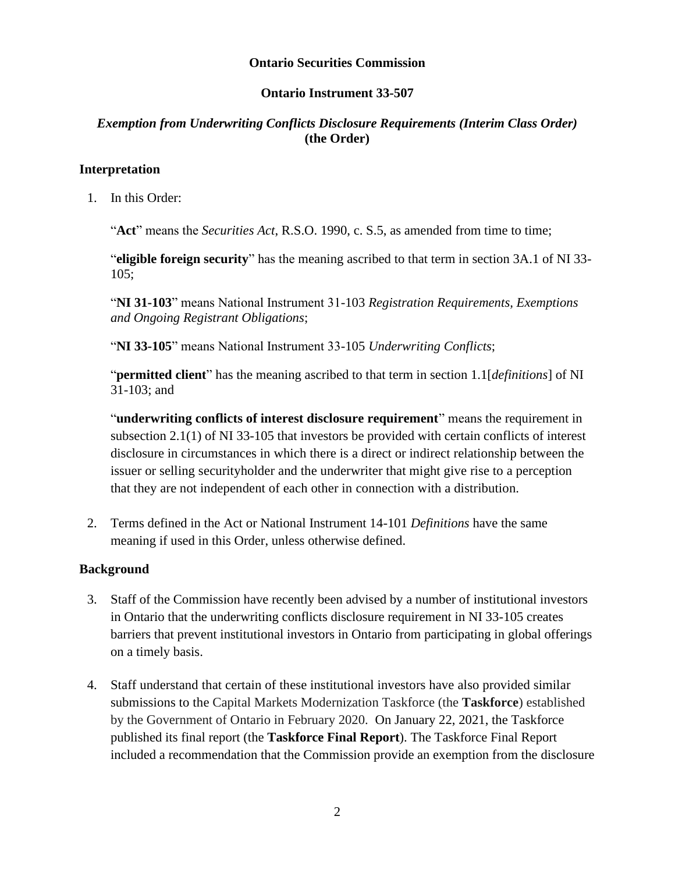### **Ontario Securities Commission**

### **Ontario Instrument 33-507**

### *Exemption from Underwriting Conflicts Disclosure Requirements (Interim Class Order)*  **(the Order)**

### **Interpretation**

1. In this Order:

"**Act**" means the *Securities Act*, R.S.O. 1990, c. S.5, as amended from time to time;

"**eligible foreign security**" has the meaning ascribed to that term in section 3A.1 of NI 33- 105;

"**NI 31-103**" means National Instrument 31-103 *Registration Requirements, Exemptions and Ongoing Registrant Obligations*;

"**NI 33-105**" means National Instrument 33-105 *Underwriting Conflicts*;

"**permitted client**" has the meaning ascribed to that term in section 1.1[*definitions*] of NI 31-103; and

"**underwriting conflicts of interest disclosure requirement**" means the requirement in subsection 2.1(1) of NI 33-105 that investors be provided with certain conflicts of interest disclosure in circumstances in which there is a direct or indirect relationship between the issuer or selling securityholder and the underwriter that might give rise to a perception that they are not independent of each other in connection with a distribution.

2. Terms defined in the Act or National Instrument 14-101 *Definitions* have the same meaning if used in this Order, unless otherwise defined.

### **Background**

- 3. Staff of the Commission have recently been advised by a number of institutional investors in Ontario that the underwriting conflicts disclosure requirement in NI 33-105 creates barriers that prevent institutional investors in Ontario from participating in global offerings on a timely basis.
- 4. Staff understand that certain of these institutional investors have also provided similar submissions to the Capital Markets Modernization Taskforce (the **Taskforce**) established by the Government of Ontario in February 2020. On January 22, 2021, the Taskforce published its final report (the **Taskforce Final Report**). The Taskforce Final Report included a recommendation that the Commission provide an exemption from the disclosure